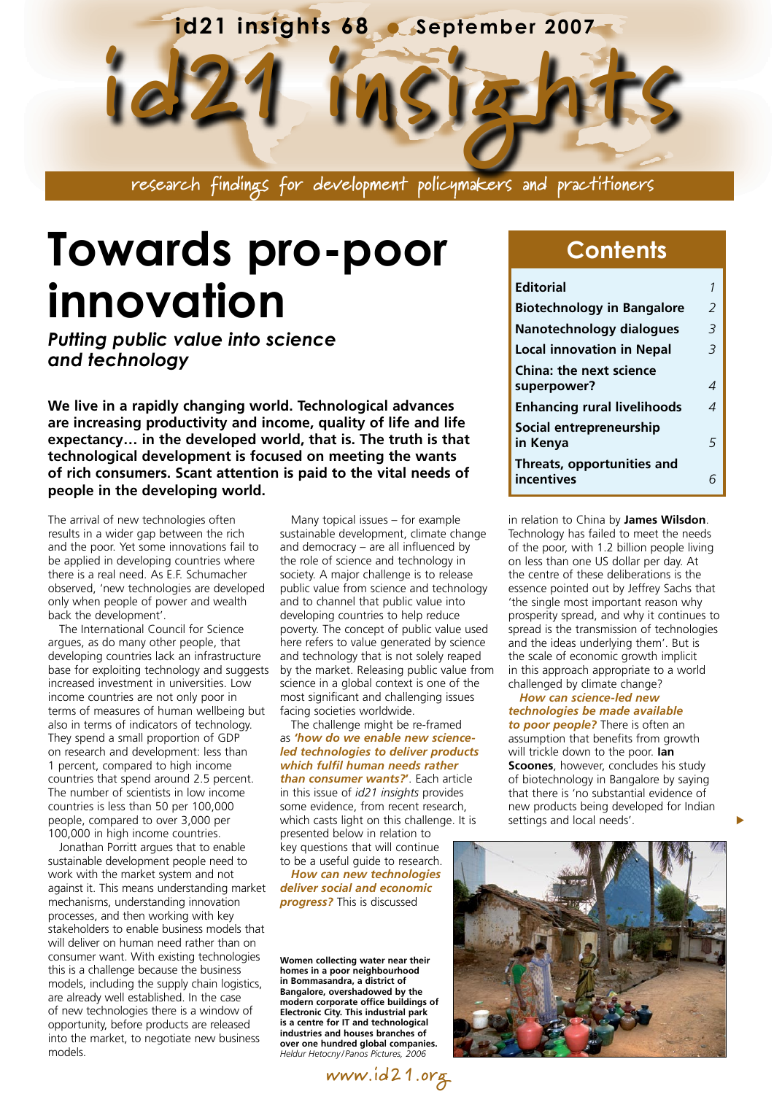

**Towards pro-poor innovation** 

*Putting public value into science and technology*

**We live in a rapidly changing world. Technological advances are increasing productivity and income, quality of life and life expectancy… in the developed world, that is. The truth is that technological development is focused on meeting the wants of rich consumers. Scant attention is paid to the vital needs of people in the developing world.**

The arrival of new technologies often results in a wider gap between the rich and the poor. Yet some innovations fail to be applied in developing countries where there is a real need. As E.F. Schumacher observed, 'new technologies are developed only when people of power and wealth back the development'.

The International Council for Science argues, as do many other people, that developing countries lack an infrastructure base for exploiting technology and suggests increased investment in universities. Low income countries are not only poor in terms of measures of human wellbeing but also in terms of indicators of technology. They spend a small proportion of GDP on research and development: less than 1 percent, compared to high income countries that spend around 2.5 percent. The number of scientists in low income countries is less than 50 per 100,000 people, compared to over 3,000 per 100,000 in high income countries.

Jonathan Porritt argues that to enable sustainable development people need to work with the market system and not against it. This means understanding market mechanisms, understanding innovation processes, and then working with key stakeholders to enable business models that will deliver on human need rather than on consumer want. With existing technologies this is a challenge because the business models, including the supply chain logistics, are already well established. In the case of new technologies there is a window of opportunity, before products are released into the market, to negotiate new business models.

Many topical issues – for example sustainable development, climate change and democracy – are all influenced by the role of science and technology in society. A major challenge is to release public value from science and technology and to channel that public value into developing countries to help reduce poverty. The concept of public value used here refers to value generated by science and technology that is not solely reaped by the market. Releasing public value from science in a global context is one of the most significant and challenging issues facing societies worldwide.

The challenge might be re-framed as *'how do we enable new scienceled technologies to deliver products which fulfil human needs rather than consumer wants?***'**. Each article in this issue of *id21 insights* provides some evidence, from recent research, which casts light on this challenge. It is presented below in relation to key questions that will continue to be a useful guide to research.

*How can new technologies deliver social and economic progress?* This is discussed

**Women collecting water near their homes in a poor neighbourhood in Bommasandra, a district of Bangalore, overshadowed by the modern corporate office buildings of Electronic City. This industrial park is a centre for IT and technological industries and houses branches of over one hundred global companies.** *Heldur Hetocny / Panos Pictures, 2006*

**www.id21.org**

### **Contents**

| <b>Editorial</b>                   |                |
|------------------------------------|----------------|
| <b>Biotechnology in Bangalore</b>  | $\mathcal{P}$  |
| Nanotechnology dialogues           | $\overline{3}$ |
| <b>Local innovation in Nepal</b>   | $\overline{3}$ |
| <b>China: the next science</b>     |                |
| superpower?                        | 4              |
| <b>Enhancing rural livelihoods</b> | 4              |
| Social entrepreneurship            |                |
| in Kenya                           | 5              |
| Threats, opportunities and         |                |
| incentives                         |                |

in relation to China by **James Wilsdon**. Technology has failed to meet the needs of the poor, with 1.2 billion people living on less than one US dollar per day. At the centre of these deliberations is the essence pointed out by Jeffrey Sachs that 'the single most important reason why prosperity spread, and why it continues to spread is the transmission of technologies and the ideas underlying them'. But is the scale of economic growth implicit in this approach appropriate to a world challenged by climate change?

#### *How can science-led new technologies be made available to poor people?* There is often an assumption that benefits from growth will trickle down to the poor. **Ian Scoones**, however, concludes his study of biotechnology in Bangalore by saying that there is 'no substantial evidence of new products being developed for Indian

 $\blacktriangleright$ 



settings and local needs'.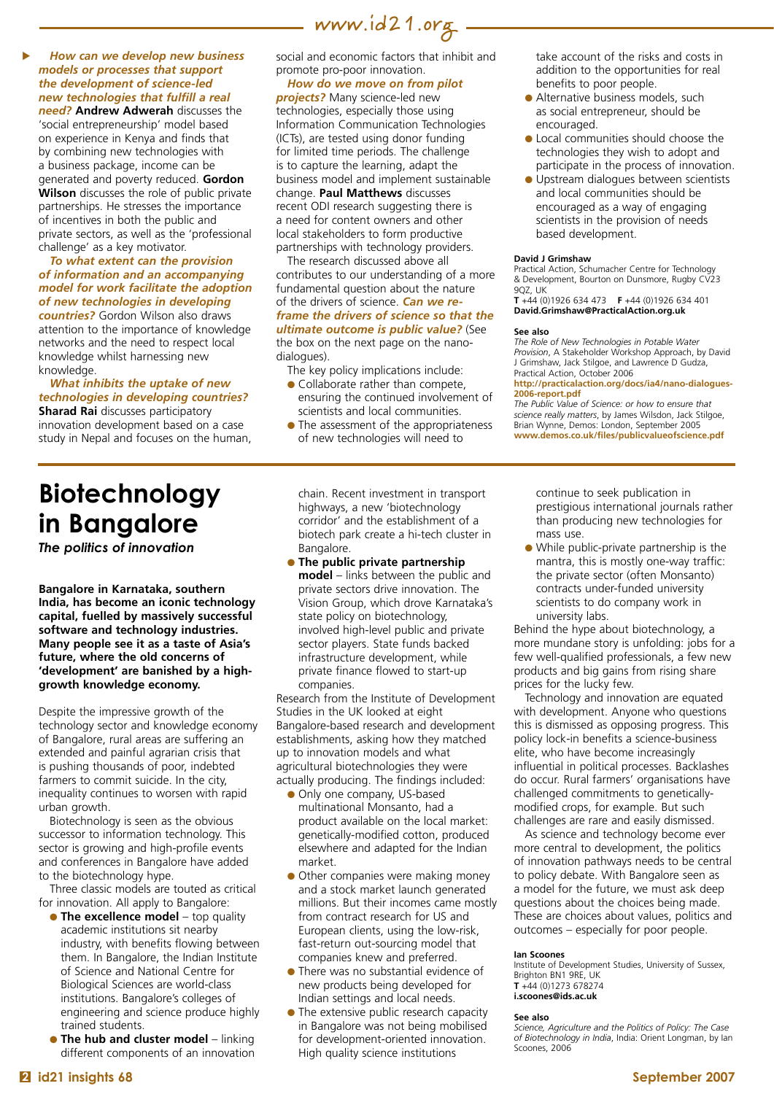

#### *How can we develop new business models or processes that support the development of science-led new technologies that fulfill a real*

 $\blacktriangleright$ 

*need?* **Andrew Adwerah** discusses the 'social entrepreneurship' model based on experience in Kenya and finds that by combining new technologies with a business package, income can be generated and poverty reduced. **Gordon Wilson** discusses the role of public private partnerships. He stresses the importance of incentives in both the public and private sectors, as well as the 'professional challenge' as a key motivator.

#### *To what extent can the provision of information and an accompanying model for work facilitate the adoption of new technologies in developing*

*countries?* Gordon Wilson also draws attention to the importance of knowledge networks and the need to respect local knowledge whilst harnessing new knowledge.

*What inhibits the uptake of new technologies in developing countries?*  **Sharad Rai** discusses participatory innovation development based on a case study in Nepal and focuses on the human, social and economic factors that inhibit and promote pro-poor innovation.

#### *How do we move on from pilot*

*projects?* Many science-led new technologies, especially those using Information Communication Technologies (ICTs), are tested using donor funding for limited time periods. The challenge is to capture the learning, adapt the business model and implement sustainable change. **Paul Matthews** discusses recent ODI research suggesting there is a need for content owners and other local stakeholders to form productive partnerships with technology providers.

The research discussed above all contributes to our understanding of a more fundamental question about the nature of the drivers of science. *Can we reframe the drivers of science so that the ultimate outcome is public value?* (See the box on the next page on the nanodialogues).

The key policy implications include:

- Collaborate rather than compete. ensuring the continued involvement of scientists and local communities.
- $\bullet$  The assessment of the appropriateness of new technologies will need to

take account of the risks and costs in addition to the opportunities for real benefits to poor people.

- Alternative business models, such as social entrepreneur, should be encouraged.
- $\bullet$  Local communities should choose the technologies they wish to adopt and participate in the process of innovation.
- **.** Upstream dialogues between scientists and local communities should be encouraged as a way of engaging scientists in the provision of needs based development.

#### **David J Grimshaw**

Practical Action, Schumacher Centre for Technology & Development, Bourton on Dunsmore, Rugby CV23 9QZ, UK

**T** +44 (0)1926 634 473 **F** +44 (0)1926 634 401 **[David.Grimshaw@PracticalAction.org.uk](mailto:David.Grimshaw@PracticalAction.org.uk)**

#### **See also**

*The Role of New Technologies in Potable Water Provision*, A Stakeholder Workshop Approach, by David J Grimshaw, Jack Stilgoe, and Lawrence D Gudza, Practical Action, October 2006

**http://practicalaction.org/docs/ia4/nano-dialogues-2006-report.pdf**

*The Public Value of Science: or how to ensure that science really matters*, by James Wilsdon, Jack Stilgoe, Brian Wynne, Demos: London, September 2005 **www.demos.co.uk/files/publicvalueofscience.pdf** 

# **Biotechnology in Bangalore**

*The politics of innovation*

**Bangalore in Karnataka, southern India, has become an iconic technology capital, fuelled by massively successful software and technology industries. Many people see it as a taste of Asia's future, where the old concerns of 'development' are banished by a highgrowth knowledge economy.**

Despite the impressive growth of the technology sector and knowledge economy of Bangalore, rural areas are suffering an extended and painful agrarian crisis that is pushing thousands of poor, indebted farmers to commit suicide. In the city, inequality continues to worsen with rapid urban growth.

Biotechnology is seen as the obvious successor to information technology. This sector is growing and high-profile events and conferences in Bangalore have added to the biotechnology hype.

Three classic models are touted as critical for innovation. All apply to Bangalore:

- **The excellence model** top quality academic institutions sit nearby industry, with benefits flowing between them. In Bangalore, the Indian Institute of Science and National Centre for Biological Sciences are world-class institutions. Bangalore's colleges of engineering and science produce highly trained students.
- **The hub and cluster model** linking different components of an innovation

chain. Recent investment in transport highways, a new 'biotechnology corridor' and the establishment of a biotech park create a hi-tech cluster in Bangalore.

**• The public private partnership model** – links between the public and private sectors drive innovation. The Vision Group, which drove Karnataka's state policy on biotechnology, involved high-level public and private sector players. State funds backed infrastructure development, while private finance flowed to start-up companies.

Research from the Institute of Development Studies in the UK looked at eight Bangalore-based research and development establishments, asking how they matched up to innovation models and what agricultural biotechnologies they were actually producing. The findings included:

- Only one company, US-based multinational Monsanto, had a product available on the local market: genetically-modified cotton, produced elsewhere and adapted for the Indian market.
- Other companies were making money and a stock market launch generated millions. But their incomes came mostly from contract research for US and European clients, using the low-risk, fast-return out-sourcing model that companies knew and preferred.
- **There was no substantial evidence of** new products being developed for Indian settings and local needs.
- The extensive public research capacity in Bangalore was not being mobilised for development-oriented innovation. High quality science institutions

continue to seek publication in prestigious international journals rather than producing new technologies for mass use.

l While public-private partnership is the mantra, this is mostly one-way traffic: the private sector (often Monsanto) contracts under-funded university scientists to do company work in university labs.

Behind the hype about biotechnology, a more mundane story is unfolding: jobs for a few well-qualified professionals, a few new products and big gains from rising share prices for the lucky few.

Technology and innovation are equated with development. Anyone who questions this is dismissed as opposing progress. This policy lock-in benefits a science-business elite, who have become increasingly influential in political processes. Backlashes do occur. Rural farmers' organisations have challenged commitments to geneticallymodified crops, for example. But such challenges are rare and easily dismissed.

As science and technology become ever more central to development, the politics of innovation pathways needs to be central to policy debate. With Bangalore seen as a model for the future, we must ask deep questions about the choices being made. These are choices about values, politics and outcomes – especially for poor people.

#### **Ian Scoones**

Institute of Development Studies, University of Sussex, Brighton BN1 9RE, UK **T** +44 (0)1273 678274 **[i.scoones@ids.ac.uk](mailto:i.scoones@ids.ac.uk)**

#### **See also**

*Science, Agriculture and the Politics of Policy: The Case of Biotechnology in India*, India: Orient Longman, by Ian Scoones, 2006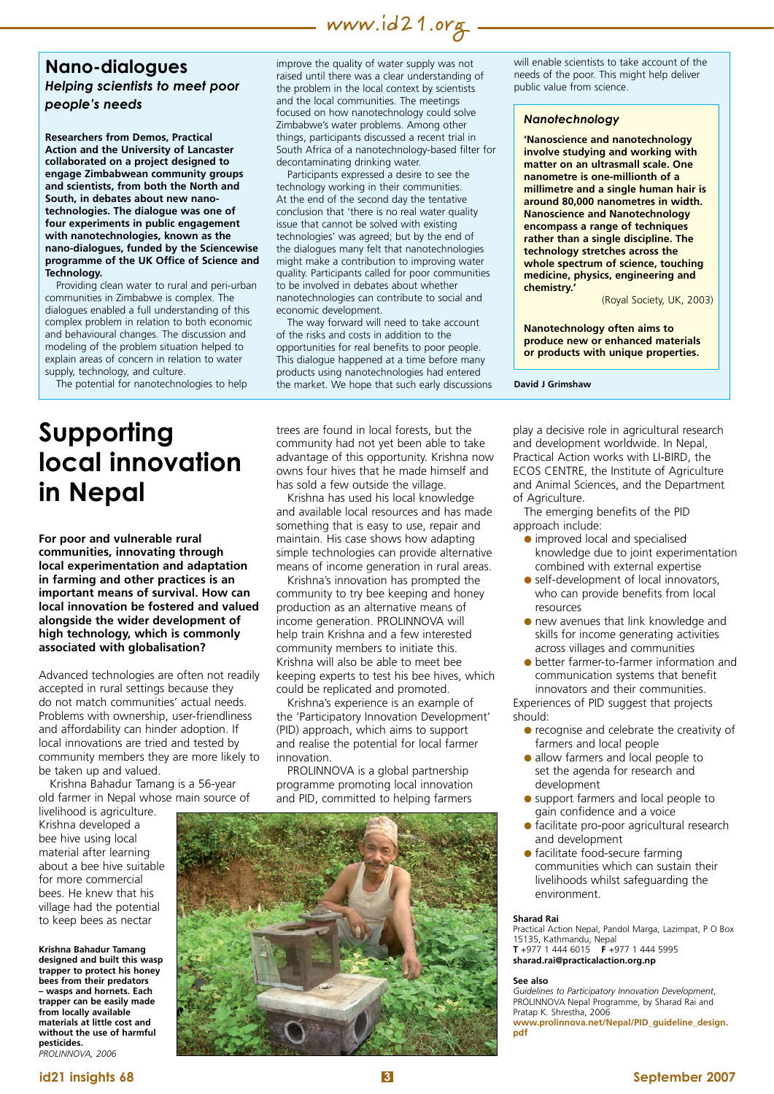### **www.id21.org**

### **Nano-dialogues** *Helping scientists to meet poor people's needs*

**Researchers from Demos, Practical Action and the University of Lancaster collaborated on a project designed to engage Zimbabwean community groups and scientists, from both the North and South, in debates about new nanotechnologies. The dialogue was one of four experiments in public engagement with nanotechnologies, known as the nano-dialogues, funded by the Sciencewise programme of the UK Office of Science and Technology.**

Providing clean water to rural and peri-urban communities in Zimbabwe is complex. The dialogues enabled a full understanding of this complex problem in relation to both economic and behavioural changes. The discussion and modeling of the problem situation helped to explain areas of concern in relation to water supply, technology, and culture.

The potential for nanotechnologies to help

# **Supporting local innovation in Nepal**

**For poor and vulnerable rural communities, innovating through local experimentation and adaptation in farming and other practices is an important means of survival. How can local innovation be fostered and valued alongside the wider development of high technology, which is commonly associated with globalisation?**

Advanced technologies are often not readily accepted in rural settings because they do not match communities' actual needs. Problems with ownership, user-friendliness and affordability can hinder adoption. If local innovations are tried and tested by community members they are more likely to be taken up and valued.

Krishna Bahadur Tamang is a 56-year old farmer in Nepal whose main source of

livelihood is agriculture. Krishna developed a bee hive using local material after learning about a bee hive suitable for more commercial bees. He knew that his village had the potential to keep bees as nectar

**Krishna Bahadur Tamang designed and built this wasp trapper to protect his honey bees from their predators – wasps and hornets. Each trapper can be easily made from locally available materials at little cost and without the use of harmful pesticides.**  *PROLINNOVA, 2006*

improve the quality of water supply was not raised until there was a clear understanding of the problem in the local context by scientists and the local communities. The meetings focused on how nanotechnology could solve Zimbabwe's water problems. Among other things, participants discussed a recent trial in South Africa of a nanotechnology-based filter for decontaminating drinking water.

Participants expressed a desire to see the technology working in their communities. At the end of the second day the tentative conclusion that 'there is no real water quality issue that cannot be solved with existing technologies' was agreed; but by the end of the dialogues many felt that nanotechnologies might make a contribution to improving water quality. Participants called for poor communities to be involved in debates about whether nanotechnologies can contribute to social and economic development.

The way forward will need to take account of the risks and costs in addition to the opportunities for real benefits to poor people. This dialogue happened at a time before many products using nanotechnologies had entered the market. We hope that such early discussions

trees are found in local forests, but the community had not yet been able to take advantage of this opportunity. Krishna now owns four hives that he made himself and has sold a few outside the village.

Krishna has used his local knowledge and available local resources and has made something that is easy to use, repair and maintain. His case shows how adapting simple technologies can provide alternative means of income generation in rural areas.

Krishna's innovation has prompted the community to try bee keeping and honey production as an alternative means of income generation. PROLINNOVA will help train Krishna and a few interested community members to initiate this. Krishna will also be able to meet bee keeping experts to test his bee hives, which could be replicated and promoted.

Krishna's experience is an example of the 'Participatory Innovation Development' (PID) approach, which aims to support and realise the potential for local farmer innovation.

PROLINNOVA is a global partnership programme promoting local innovation and PID, committed to helping farmers



will enable scientists to take account of the needs of the poor. This might help deliver public value from science.

#### *Nanotechnology*

**'Nanoscience and nanotechnology involve studying and working with matter on an ultrasmall scale. One nanometre is one-millionth of a millimetre and a single human hair is around 80,000 nanometres in width. Nanoscience and Nanotechnology encompass a range of techniques rather than a single discipline. The technology stretches across the whole spectrum of science, touching medicine, physics, engineering and chemistry.'**

(Royal Society, UK, 2003)

**Nanotechnology often aims to produce new or enhanced materials or products with unique properties.**

**David J Grimshaw**

play a decisive role in agricultural research and development worldwide. In Nepal, Practical Action works with LI-BIRD, the ECOS CENTRE, the Institute of Agriculture and Animal Sciences, and the Department of Agriculture.

The emerging benefits of the PID approach include:

- $\bullet$  improved local and specialised knowledge due to joint experimentation combined with external expertise
- self-development of local innovators, who can provide benefits from local resources
- **.** new avenues that link knowledge and skills for income generating activities across villages and communities
- l better farmer-to-farmer information and communication systems that benefit innovators and their communities.

Experiences of PID suggest that projects should:

- **•** recognise and celebrate the creativity of farmers and local people
- allow farmers and local people to set the agenda for research and development
- support farmers and local people to gain confidence and a voice
- l facilitate pro-poor agricultural research and development
- **·** facilitate food-secure farming communities which can sustain their livelihoods whilst safeguarding the environment.

#### **Sharad Rai**

Practical Action Nepal, Pandol Marga, Lazimpat, P O Box 15135, Kathmandu, Nepal **T** +977 1 444 6015 **F** +977 1 444 5995

**[sharad.rai@practicalaction.org.np](mailto:sharad.rai@practicalaction.org.np)**

#### **See also**

*Guidelines to Participatory Innovation Development*, PROLINNOVA Nepal Programme, by Sharad Rai and Pratap K. Shrestha, 2006

**[www.prolinnova.net/Nepal/PID\\_guideline\\_design.](http://www.prolinnova.net/Nepal/PID_guideline_design.pdf) pdf**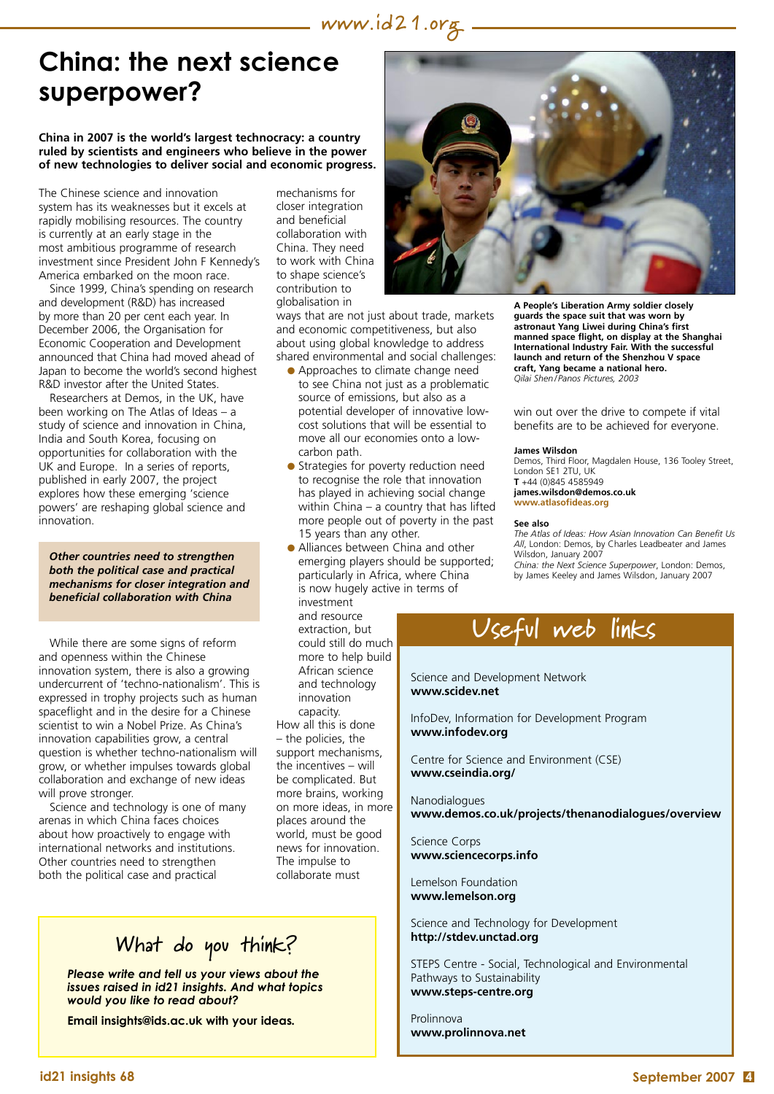## **China: the next science superpower?**

#### **China in 2007 is the world's largest technocracy: a country ruled by scientists and engineers who believe in the power of new technologies to deliver social and economic progress.**

The Chinese science and innovation system has its weaknesses but it excels at rapidly mobilising resources. The country is currently at an early stage in the most ambitious programme of research investment since President John F Kennedy's America embarked on the moon race.

Since 1999, China's spending on research and development (R&D) has increased by more than 20 per cent each year. In December 2006, the Organisation for Economic Cooperation and Development announced that China had moved ahead of Japan to become the world's second highest R&D investor after the United States.

Researchers at Demos, in the UK, have been working on The Atlas of Ideas – a study of science and innovation in China, India and South Korea, focusing on opportunities for collaboration with the UK and Europe. In a series of reports, published in early 2007, the project explores how these emerging 'science powers' are reshaping global science and innovation.

*Other countries need to strengthen both the political case and practical mechanisms for closer integration and beneficial collaboration with China*

While there are some signs of reform and openness within the Chinese innovation system, there is also a growing undercurrent of 'techno-nationalism'. This is expressed in trophy projects such as human spaceflight and in the desire for a Chinese scientist to win a Nobel Prize. As China's innovation capabilities grow, a central question is whether techno-nationalism will grow, or whether impulses towards global collaboration and exchange of new ideas will prove stronger.

Science and technology is one of many arenas in which China faces choices about how proactively to engage with international networks and institutions. Other countries need to strengthen both the political case and practical

mechanisms for closer integration and beneficial collaboration with China. They need to work with China to shape science's contribution to globalisation in

ways that are not just about trade, markets and economic competitiveness, but also about using global knowledge to address shared environmental and social challenges:

- **Approaches to climate change need** to see China not just as a problematic source of emissions, but also as a potential developer of innovative lowcost solutions that will be essential to move all our economies onto a lowcarbon path.
- **•** Strategies for poverty reduction need to recognise the role that innovation has played in achieving social change within China – a country that has lifted more people out of poverty in the past 15 years than any other.
- Alliances between China and other emerging players should be supported; particularly in Africa, where China is now hugely active in terms of

investment and resource extraction, but could still do much more to help build African science and technology innovation capacity. How all this is done – the policies, the support mechanisms, the incentives – will be complicated. But more brains, working on more ideas, in more places around the world, must be good news for innovation. The impulse to collaborate must

### **What do you think?**

*Please write and tell us your views about the issues raised in id21 insights. And what topics would you like to read about?* 

**Email insights@ids.ac.uk with your ideas***.* 



**A People's Liberation Army soldier closely guards the space suit that was worn by astronaut Yang Liwei during China's first manned space flight, on display at the Shanghai International Industry Fair. With the successful launch and return of the Shenzhou V space craft, Yang became a national hero.** *Qilai Shen/ Panos Pictures, 2003*

win out over the drive to compete if vital benefits are to be achieved for everyone.

#### **James Wilsdon**

Demos, Third Floor, Magdalen House, 136 Tooley Street, London SE1 2TU, UK **T** +44 (0)845 4585949

**[james.wilsdon@demos.co.uk](mailto:james.wilsdon@demos.co.uk) www.atlasofideas.org**

#### **See also**

*The Atlas of Ideas: How Asian Innovation Can Benefit Us All*, London: Demos, by Charles Leadbeater and James Wilsdon, January 2007 *China: the Next Science Superpower*, London: Demos, by James Keeley and James Wilsdon, January 2007



Science and Development Network **www.scidev.net**

InfoDev, Information for Development Program **www.infodev.org**

Centre for Science and Environment (CSE) **www.cseindia.org/**

Nanodialogues **www.demos.co.uk/projects/thenanodialogues/overview**

Science Corps **www.sciencecorps.info**

Lemelson Foundation **www.lemelson.org**

Science and Technology for Development **http://stdev.unctad.org**

STEPS Centre - Social, Technological and Environmental Pathways to Sustainability **www.steps-centre.org**

Prolinnova **www.prolinnova.net**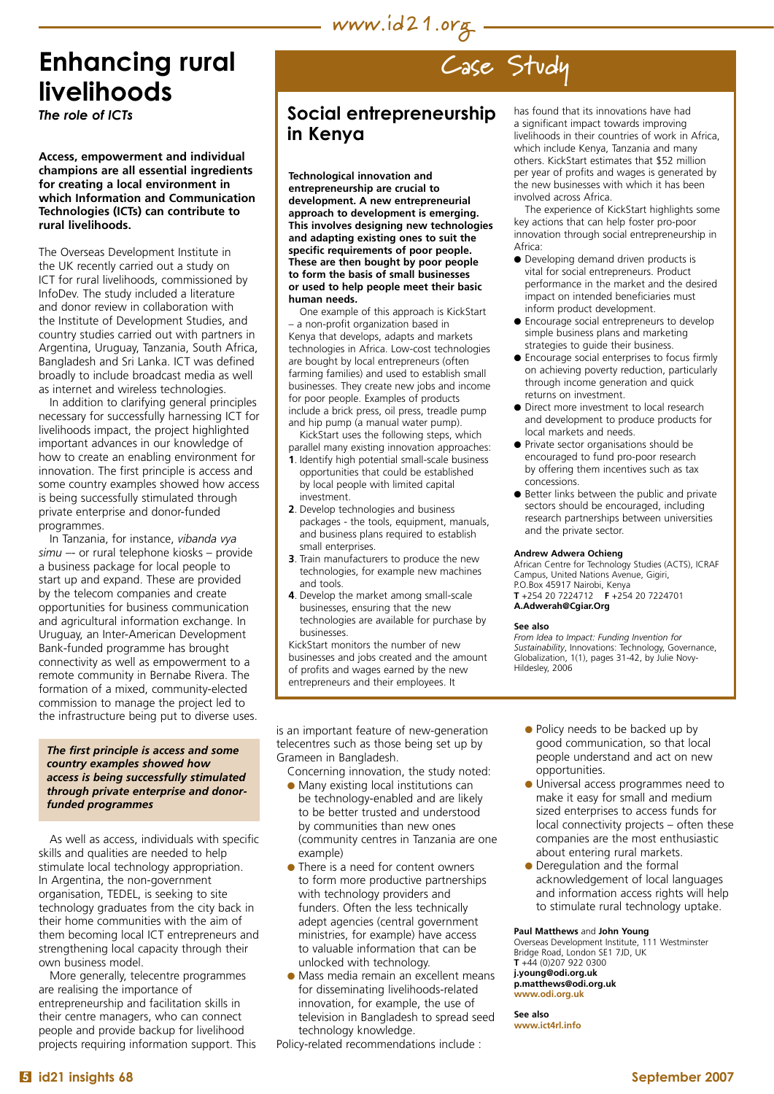# **www.id21.org**

# **Enhancing rural livelihoods**

*The role of ICTs*

**Access, empowerment and individual champions are all essential ingredients for creating a local environment in which Information and Communication Technologies (ICTs) can contribute to rural livelihoods.**

The Overseas Development Institute in the UK recently carried out a study on ICT for rural livelihoods, commissioned by InfoDev. The study included a literature and donor review in collaboration with the Institute of Development Studies, and country studies carried out with partners in Argentina, Uruguay, Tanzania, South Africa, Bangladesh and Sri Lanka. ICT was defined broadly to include broadcast media as well as internet and wireless technologies.

In addition to clarifying general principles necessary for successfully harnessing ICT for livelihoods impact, the project highlighted important advances in our knowledge of how to create an enabling environment for innovation. The first principle is access and some country examples showed how access is being successfully stimulated through private enterprise and donor-funded programmes.

In Tanzania, for instance, *vibanda vya simu* –- or rural telephone kiosks – provide a business package for local people to start up and expand. These are provided by the telecom companies and create opportunities for business communication and agricultural information exchange. In Uruguay, an Inter-American Development Bank-funded programme has brought connectivity as well as empowerment to a remote community in Bernabe Rivera. The formation of a mixed, community-elected commission to manage the project led to the infrastructure being put to diverse uses.

#### *The first principle is access and some country examples showed how access is being successfully stimulated through private enterprise and donorfunded programmes*

As well as access, individuals with specific skills and qualities are needed to help stimulate local technology appropriation. In Argentina, the non-government organisation, TEDEL, is seeking to site technology graduates from the city back in their home communities with the aim of them becoming local ICT entrepreneurs and strengthening local capacity through their own business model.

More generally, telecentre programmes are realising the importance of entrepreneurship and facilitation skills in their centre managers, who can connect people and provide backup for livelihood projects requiring information support. This

# **Case Study**

### **Social entrepreneurship in Kenya**

**Technological innovation and entrepreneurship are crucial to development. A new entrepreneurial approach to development is emerging. This involves designing new technologies and adapting existing ones to suit the specific requirements of poor people. These are then bought by poor people to form the basis of small businesses or used to help people meet their basic human needs.** 

One example of this approach is KickStart – a non-profit organization based in Kenya that develops, adapts and markets technologies in Africa. Low-cost technologies are bought by local entrepreneurs (often farming families) and used to establish small businesses. They create new jobs and income for poor people. Examples of products include a brick press, oil press, treadle pump and hip pump (a manual water pump).

KickStart uses the following steps, which parallel many existing innovation approaches:

- **1**. Identify high potential small-scale business opportunities that could be established by local people with limited capital investment.
- **2**. Develop technologies and business packages - the tools, equipment, manuals, and business plans required to establish small enterprises.
- **3**. Train manufacturers to produce the new technologies, for example new machines and tools.
- **4**. Develop the market among small-scale businesses, ensuring that the new technologies are available for purchase by businesses.

KickStart monitors the number of new businesses and jobs created and the amount of profits and wages earned by the new entrepreneurs and their employees. It

is an important feature of new-generation telecentres such as those being set up by Grameen in Bangladesh.

Concerning innovation, the study noted:

- **Many existing local institutions can** be technology-enabled and are likely to be better trusted and understood by communities than new ones (community centres in Tanzania are one example)
- There is a need for content owners to form more productive partnerships with technology providers and funders. Often the less technically adept agencies (central government ministries, for example) have access to valuable information that can be unlocked with technology.
- **Mass media remain an excellent means** for disseminating livelihoods-related innovation, for example, the use of television in Bangladesh to spread seed technology knowledge.

Policy-related recommendations include :

has found that its innovations have had a significant impact towards improving livelihoods in their countries of work in Africa, which include Kenya, Tanzania and many others. KickStart estimates that \$52 million per year of profits and wages is generated by the new businesses with which it has been involved across Africa.

The experience of KickStart highlights some key actions that can help foster pro-poor innovation through social entrepreneurship in Africa:

- $\bullet$  Developing demand driven products is vital for social entrepreneurs. Product performance in the market and the desired impact on intended beneficiaries must inform product development.
- **e** Encourage social entrepreneurs to develop simple business plans and marketing strategies to guide their business.
- $\bullet$  Encourage social enterprises to focus firmly on achieving poverty reduction, particularly through income generation and quick returns on investment.
- Direct more investment to local research and development to produce products for local markets and needs.
- **•** Private sector organisations should be encouraged to fund pro-poor research by offering them incentives such as tax concessions.
- Better links between the public and private sectors should be encouraged, including research partnerships between universities and the private sector.

#### **Andrew Adwera Ochieng**

African Centre for Technology Studies (ACTS), ICRAF Campus, United Nations Avenue, Gigiri, P.O.Box 45917 Nairobi, Kenya **T** +254 20 7224712 **F** +254 20 7224701

**[A.Adwerah@Cgiar.Org](mailto:A.Adwerah@Cgiar.Org)**

#### **See also**

*From Idea to Impact: Funding Invention for Sustainability*, Innovations: Technology, Governance, Globalization, 1(1), pages 31-42, by Julie Novy-Hildesley, 2006

- Policy needs to be backed up by good communication, so that local people understand and act on new opportunities.
- **.** Universal access programmes need to make it easy for small and medium sized enterprises to access funds for local connectivity projects – often these companies are the most enthusiastic about entering rural markets.
- Deregulation and the formal acknowledgement of local languages and information access rights will help to stimulate rural technology uptake.

#### **Paul Matthews** and **John Young**

Overseas Development Institute, 111 Westminster Bridge Road, London SE1 7JD, UK **T** +44 (0)207 922 0300 **[j.young@odi.org.uk](mailto:j.young@odi.org.uk)  [p.matthews@odi.org.uk](mailto:p.matthews@odi.org.uk)  www.odi.org.uk** 

**See also www.ict4rl.info**